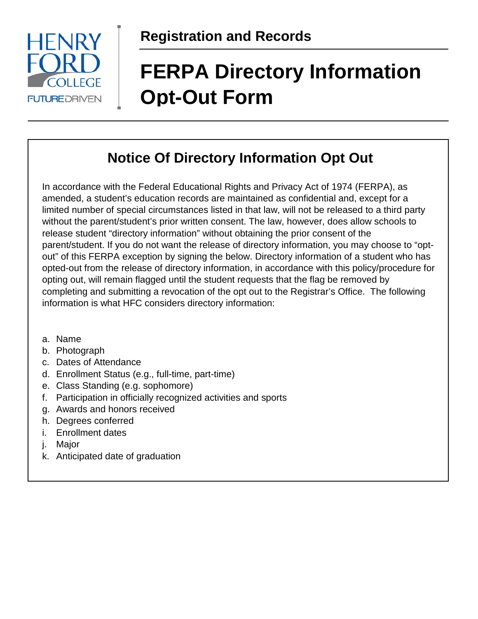

# **FERPA Directory Information Opt-Out Form**

### **Notice Of Directory Information Opt Out**

In accordance with the Federal Educational Rights and Privacy Act of 1974 (FERPA), as amended, a student's education records are maintained as confidential and, except for a limited number of special circumstances listed in that law, will not be released to a third party without the parent/student's prior written consent. The law, however, does allow schools to release student "directory information" without obtaining the prior consent of the parent/student. If you do not want the release of directory information, you may choose to "optout" of this FERPA exception by signing the below. Directory information of a student who has opted-out from the release of directory information, in accordance with this policy/procedure for opting out, will remain flagged until the student requests that the flag be removed by completing and submitting a revocation of the opt out to the Registrar's Office. The following information is what HFC considers directory information:

- a. Name
- b. Photograph
- c. Dates of Attendance
- d. Enrollment Status (e.g., full-time, part-time)
- e. Class Standing (e.g. sophomore)
- f. Participation in officially recognized activities and sports
- g. Awards and honors received
- h. Degrees conferred
- i. Enrollment dates
- j. Major
- k. Anticipated date of graduation